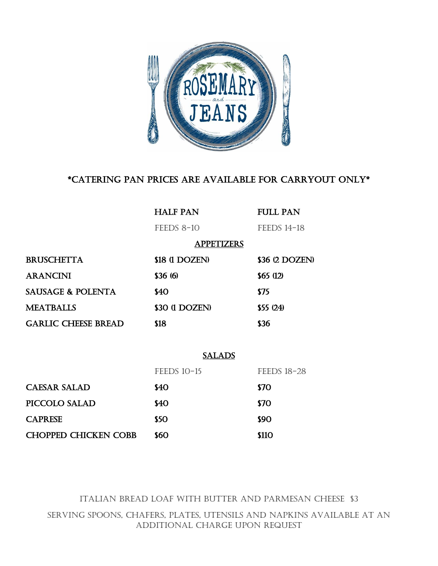

## \*CATERING PAN PRICES ARE AVAILABLE FOR CARRYOUT ONLY\*

|                              | <b>HALF PAN</b>    | <b>FULL PAN</b>    |  |  |
|------------------------------|--------------------|--------------------|--|--|
|                              | $FEEDS 8-10$       | <b>FEEDS 14-18</b> |  |  |
| <b>APPETIZERS</b>            |                    |                    |  |  |
| <b>BRUSCHETTA</b>            | \$18 (1 DOZEN)     | \$36 (2 DOZEN)     |  |  |
| <b>ARANCINI</b>              | \$36(6)            | \$65(12)           |  |  |
| <b>SAUSAGE &amp; POLENTA</b> | \$40               | <b>\$75</b>        |  |  |
| <b>MEATBALLS</b>             | \$30 (1 DOZEN)     | $$55 \ (24)$       |  |  |
| <b>GARLIC CHEESE BREAD</b>   | \$18               | <b>\$36</b>        |  |  |
|                              |                    |                    |  |  |
|                              | <b>SALADS</b>      |                    |  |  |
|                              | <b>FEEDS 10-15</b> | <b>FEEDS 18-28</b> |  |  |
| <b>CAESAR SALAD</b>          | \$40               | <b>\$70</b>        |  |  |
| PICCOLO SALAD                | \$40               | <b>\$70</b>        |  |  |
| <b>CAPRESE</b>               | <b>\$50</b>        | <b>\$90</b>        |  |  |
| <b>CHOPPED CHICKEN COBB</b>  | \$60               | <b>\$110</b>       |  |  |

ITALIAN BREAD LOAF WITH BUTTER AND PARMESAN CHEESE \$3 Serving spoons, chafers, plates, utensils and napkins available at an additional charge upon request